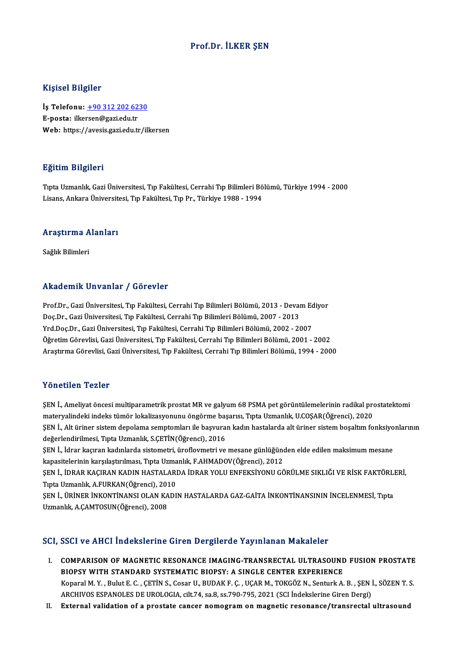### Prof.Dr. İLKER ŞEN

### Kişisel Bilgiler

Kişisel Bilgiler<br>İş Telefonu: <u>+90 312 202 6230</u><br>E nosta: ilkersən@səsi.edu.tr 11131021 B1151101<br>İş Telefonu: <u>+90 312 202 62</u><br>E-posta: ilke[rsen@gazi.edu.tr](tel:+90 312 202 6230) E-posta: ilkersen@gazi.edu.tr<br>Web: https://avesis.gazi.edu.tr/ilkersen

### Eğitim Bilgileri

TıptaUzmanlık,GaziÜniversitesi,Tıp Fakültesi,CerrahiTıpBilimleriBölümü,Türkiye 1994 -2000 Lisans, Ankara Üniversitesi, Tıp Fakültesi, Tıp Pr., Türkiye 1988 - 1994

## Lisans, Ankara Universit<br>Araştırma Alanları <mark>Araştırma A</mark><br>Sağlık Bilimleri

# Akademik Unvanlar / Görevler

Prof.Dr., Gazi Üniversitesi, Tıp Fakültesi, Cerrahi Tıp Bilimleri Bölümü, 2013 - Devam Ediyor rındu olirin "Olivulmal" / "Olivulmal"<br>Prof.Dr., Gazi Üniversitesi, Tıp Fakültesi, Cerrahi Tıp Bilimleri Bölümü, 2013 - Devai<br>Doç.Dr., Gazi Üniversitesi, Tıp Fakültesi, Cerrahi Tıp Bilimleri Bölümü, 2007 - 2013<br>Vrd Doc.Dr. Prof.Dr., Gazi Üniversitesi, Tıp Fakültesi, Cerrahi Tıp Bilimleri Bölümü, 2013 - Devam Ec<br>Doç.Dr., Gazi Üniversitesi, Tıp Fakültesi, Cerrahi Tıp Bilimleri Bölümü, 2007 - 2013<br>Yrd.Doç.Dr., Gazi Üniversitesi, Tıp Fakültesi, Yrd.Doç.Dr., Gazi Üniversitesi, Tıp Fakültesi, Cerrahi Tıp Bilimleri Bölümü, 2002 - 2007<br>Öğretim Görevlisi, Gazi Üniversitesi, Tıp Fakültesi, Cerrahi Tıp Bilimleri Bölümü, 2001 - 2002 AraştırmaGörevlisi,GaziÜniversitesi,Tıp Fakültesi,CerrahiTıpBilimleriBölümü,1994 -2000

#### Yönetilen Tezler

Yönetilen Tezler<br>ŞEN İ., Ameliyat öncesi multiparametrik prostat MR ve galyum 68 PSMA pet görüntülemelerinin radikal prostatektomi<br>matervalindeki indeks tümör lekeliresyonunu öngörme besensu Tuta Urmanlık U.COSAR(Öğrensi), materisch i sansi<br>ŞEN İ., Ameliyat öncesi multiparametrik prostat MR ve galyum 68 PSMA pet görüntülemelerinin radikal pro<br>materyalindeki indeks tümör lokalizasyonunu öngörme başarısı, Tıpta Uzmanlık, U.COŞAR(Öğrenci), 2020 ŞEN İ., Ameliyat öncesi multiparametrik prostat MR ve galyum 68 PSMA pet görüntülemelerinin radikal prostatektomi<br>materyalindeki indeks tümör lokalizasyonunu öngörme başarısı, Tıpta Uzmanlık, U.COŞAR(Öğrenci), 2020<br>ŞEN İ., materyalindeki indeks tümör lokalizasyonunu öngörme baş<br>ŞEN İ., Alt üriner sistem depolama semptomları ile başvura<br>değerlendirilmesi, Tıpta Uzmanlık, S.ÇETİN(Öğrenci), 2016<br>SEN İ. İdnar kasurar kadırlarda sistemetri, ürafl ŞEN İ., Alt üriner sistem depolama semptomları ile başvuran kadın hastalarda alt üriner sistem boşaltım fonksiyo<br>değerlendirilmesi, Tıpta Uzmanlık, S.ÇETİN(Öğrenci), 2016<br>ŞEN İ., İdrar kaçıran kadınlarda sistometri, üroflo değerlendirilmesi, Tıpta Uzmanlık, S.ÇETİN(Öğrenci), 2016<br>ŞEN İ., İdrar kaçıran kadınlarda sistometri, üroflovmetri ve mesane günlüğünden elde edilen maksimum mesane<br>kapasitelerinin karşılaştırılması, Tıpta Uzmanlık, F.AHM ŞEN İ., İdrar kaçıran kadınlarda sistometri, üroflovmetri ve mesane günlüğünden elde edilen maksimum mesane<br>kapasitelerinin karşılaştırılması, Tıpta Uzmanlık, F.AHMADOV(Öğrenci), 2012<br>ŞEN İ., İDRAR KAÇIRAN KADIN HASTALARDA kapasitelerinin karşılaştırılması, Tıpta Uzma<br>ŞEN İ., İDRAR KAÇIRAN KADIN HASTALARI<br>Tıpta Uzmanlık, A.FURKAN(Öğrenci), 2010<br>SEN İ. ÜPİNEP İNKONTİNANSI OLAN KADI ŞEN İ., İDRAR KAÇIRAN KADIN HASTALARDA İDRAR YOLU ENFEKSİYONU GÖRÜLME SIKLIĞI VE RİSK FAKTÖRLI<br>Tıpta Uzmanlık, A.FURKAN(Öğrenci), 2010<br>ŞEN İ., ÜRİNER İNKONTİNANSI OLAN KADIN HASTALARDA GAZ-GAİTA İNKONTİNANSININ İNCELENMESİ Tıpta Uzmanlık, A.FURKAN(Öğrenci), 2010<br>ŞEN İ., ÜRİNER İNKONTİNANSI OLAN KADIN HASTALARDA GAZ-GAİTA İNKONTİNANSININ İNCELENMESİ, Tıpta<br>Uzmanlık, A.CAMTOSUN(Öğrenci), 2008

### SCI, SSCI ve AHCI İndekslerine Giren Dergilerde Yayınlanan Makaleler

- CI, SSCI ve AHCI İndekslerine Giren Dergilerde Yayınlanan Makaleler<br>I. COMPARISON OF MAGNETIC RESONANCE IMAGING-TRANSRECTAL ULTRASOUND FUSION PROSTATE<br>RIORSY WITH STANDARD SYSTEMATIC BIORSY: A SINCLE GENTER EVRERIENCE BBB1 VB THEFT INCONSISTING CH ON B OF BIOTICS TO JIHROMAN PROMOTOR<br>COMPARISON OF MAGNETIC RESONANCE IMAGING-TRANSRECTAL ULTRASOUND<br>BIOPSY WITH STANDARD SYSTEMATIC BIOPSY: A SINGLE CENTER EXPERIENCE COMPARISON OF MAGNETIC RESONANCE IMAGING-TRANSRECTAL ULTRASOUND FUSION PROSTATE<br>BIOPSY WITH STANDARD SYSTEMATIC BIOPSY: A SINGLE CENTER EXPERIENCE<br>Koparal M.Y., Bulut E. C. , ÇETİN S., Cosar U., BUDAK F. Ç. , UÇAR M., TOKG BIOPSY WITH STANDARD SYSTEMATIC BIOPSY: A SINGLE CENTER EXPERIENCE<br>Koparal M. Y. , Bulut E. C. , ÇETİN S., Cosar U., BUDAK F. Ç. , UÇAR M., TOKGÖZ N., Senturk A. B. , ŞEN İ., SÖZEN T. S.<br>ARCHIVOS ESPANOLES DE UROLOGIA, cil
- II. External validation of a prostate cancer nomogram on magnetic resonance/transrectal ultrasound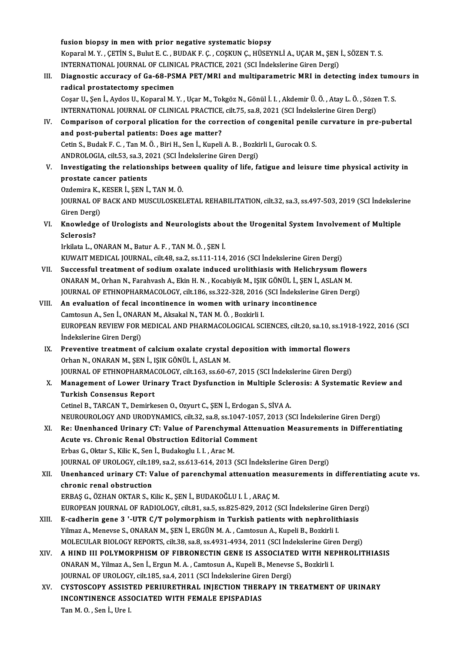fusion biopsy in men with prior negative systematic biopsy fusion biopsy in men with prior negative systematic biopsy<br>Koparal M.Y. , ÇETİN S., Bulut E. C. , BUDAK F. Ç. , COŞKUN Ç., HÜSEYNLİ A., UÇAR M., ŞEN İ., SÖZEN T. S.<br>INTERNATIONAL JOURNAL OF CLINICAL PRACTICE 2021 (SCLİNdek fusion biopsy in men with prior negative systematic biopsy<br>Koparal M. Y. , ÇETİN S., Bulut E. C. , BUDAK F. Ç. , COŞKUN Ç., HÜSEYNLİ A., UÇAR M., ŞEN<br>INTERNATIONAL JOURNAL OF CLINICAL PRACTICE, 2021 (SCI İndekslerine Giren Koparal M. Y. , ÇETİN S., Bulut E. C. , BUDAK F. Ç. , COŞKUN Ç., HÜSEYNLİ A., UÇAR M., ŞEN İ., SÖZEN T. S.<br>INTERNATIONAL JOURNAL OF CLINICAL PRACTICE, 2021 (SCI İndekslerine Giren Dergi)<br>III. Diagnostic accuracy of Ga-INTERNATIONAL JOURNAL OF CLINICAL PRACTICE, 2021 (SCI Indekslerine Giren Dergi)<br>Diagnostic accuracy of Ga-68-PSMA PET/MRI and multiparametric MRI in dete<br>radical prostatectomy specimen Diagnostic accuracy of Ga-68-PSMA PET/MRI and multiparametric MRI in detecting index tume<br>radical prostatectomy specimen<br>Coşar U., Şen İ., Aydos U., Koparal M. Y. , Uçar M., Tokgöz N., Gönül İ. I. , Akdemir Ü. Ö. , Atay L. Cosar U., Sen İ., Aydos U., Koparal M. Y., Uçar M., Tokgöz N., Gönül İ. I., Akdemir Ü. Ö., Atay L. Ö., Sözen T. S. IV. Comparison of corporal plication for the correction of congenital penile curvature in pre-pubertal INTERNATIONAL JOURNAL OF CLINICAL PRACTICE, cilt.75, sa.8, 2021 (SCI Indekslerine Giren Dergi) Comparison of corporal plication for the correction of congenital penile<br>and post-pubertal patients: Does age matter?<br>Cetin S., Budak F. C. , Tan M. Ö. , Biri H., Sen İ., Kupeli A. B. , Bozkirli I., Gurocak O. S.<br>ANDROLOCI and post-pubertal patients: Does age matter?<br>Cetin S., Budak F. C. , Tan M. Ö. , Biri H., Sen İ., Kupeli A. B. , Bozki<br>ANDROLOGIA, cilt.53, sa.3, 2021 (SCI İndekslerine Giren Dergi)<br>Investigating the relationshine between V. Investigating the relationships between quality of life, fatigue and leisure time physical activity in ANDROLOGIA, cilt 53, sa.3, 2021 (SCI Indekslerine Giren Dergi) Investigating the relationships bet<br>prostate cancer patients<br>Ozdemira K., KESER İ., ŞEN İ., TAN M. Ö.<br>JOUPNAL OF PACK AND MUSCULOSKEI prostate cancer patients<br>Ozdemira K., KESER İ., ŞEN İ., TAN M. Ö.<br>JOURNAL OF BACK AND MUSCULOSKELETAL REHABILITATION, cilt.32, sa.3, ss.497-503, 2019 (SCI İndekslerine Ozdemira K.,<br>JOURNAL OF<br>Giren Dergi)<br>Knowladse JOURNAL OF BACK AND MUSCULOSKELETAL REHABILITATION, cilt.32, sa.3, ss.497-503, 2019 (SCI İndeksleri<br>Giren Dergi)<br>VI. Knowledge of Urologists and Neurologists about the Urogenital System Involvement of Multiple<br>Selenosie? Giren Dergi<br>Knowledge<br>Sclerosis?<br>Irkilata L. O Knowledge of Urologists and Neurologists abo<br>Sclerosis?<br>Irkilata L., ONARAN M., Batur A. F. , TAN M. Ö. , ŞEN İ.<br>KUWALT MEDICAL JOUPNAL , silt 49, se 2, se 111 114 Sclerosis?<br>Irkilata L., ONARAN M., Batur A. F. , TAN M. Ö. , ŞEN İ.<br>KUWAIT MEDICAL JOURNAL, cilt.48, sa.2, ss.111-114, 2016 (SCI İndekslerine Giren Dergi)<br>Suasasaful treatment of sadium avalata indused unalithissis with He Irkilata L., ONARAN M., Batur A. F. , TAN M. Ö. , ŞEN İ.<br>KUWAIT MEDICAL JOURNAL, cilt.48, sa.2, ss.111-114, 2016 (SCI İndekslerine Giren Dergi)<br>VII. Successful treatment of sodium oxalate induced urolithiasis with Helichry KUWAIT MEDICAL JOURNAL, cilt.48, sa.2, ss.111-114, 2016 (SCI İndekslerine Giren Dergi)<br>Successful treatment of sodium oxalate induced urolithiasis with Helichrysum flov<br>ONARAN M., Orhan N., Farahvash A., Ekin H. N. , Kocab JOURNAL OF ETHNOPHARMACOLOGY, cilt.186, ss.322-328, 2016 (SCI İndekslerine Giren Dergi) ONARAN M., Orhan N., Farahvash A., Ekin H. N. , Kocabiyik M., IŞIK GÖNÜL İ., ŞEN İ.,<br>JOURNAL OF ETHNOPHARMACOLOGY, cilt.186, ss.322-328, 2016 (SCI İndekslerine<br>VIII. An evaluation of fecal incontinence in women with urinar JOURNAL OF ETHNOPHARMACOLOGY, cilt.186, ss.322-328, 2016<br>An evaluation of fecal incontinence in women with urinar<br>Camtosun A., Sen İ., ONARAN M., Aksakal N., TAN M.Ö. , Bozkirli I.<br>FUROPEAN PEVIEW EOP MEDICAL AND PHAPMACOL An evaluation of fecal incontinence in women with urinary incontinence<br>Camtosun A., Sen İ., ONARAN M., Aksakal N., TAN M. Ö. , Bozkirli I.<br>EUROPEAN REVIEW FOR MEDICAL AND PHARMACOLOGICAL SCIENCES, cilt.20, sa.10, ss.1918-1 Camtosun A., Sen İ., ONAR.<br>EUROPEAN REVIEW FOR I<br>İndekslerine Giren Dergi)<br>Proventive treatment e EUROPEAN REVIEW FOR MEDICAL AND PHARMACOLOGICAL SCIENCES, cilt.20, sa.10, ss.191<br>
Indekslerine Giren Dergi)<br>
IX. Preventive treatment of calcium oxalate crystal deposition with immortal flowers<br>
Orban N. ONARAN M. SEN LISI İndekslerine Giren Dergi)<br>IX. Preventive treatment of calcium oxalate crystal deposition with immortal flowers<br>Orhan N., ONARAN M., ŞEN İ., IŞIK GÖNÜL İ., ASLAN M. Preventive treatment of calcium oxalate crystal deposition with immortal flowers<br>Orhan N., ONARAN M., ŞEN İ., IŞIK GÖNÜL İ., ASLAN M.<br>JOURNAL OF ETHNOPHARMACOLOGY, cilt.163, ss.60-67, 2015 (SCI İndekslerine Giren Dergi)<br>Ma X. Management of Lower Urinary Tract Dysfunction in Multiple Sclerosis: A Systematic Review and<br>Turkish Consensus Report **JOURNAL OF ETHNOPHARMA<br>Management of Lower Urin<br>Turkish Consensus Report**<br>Cetinel B. TABCAN T. Demirks Cetinel B., TARCAN T., Demirkesen O., Ozyurt C., ŞEN İ., Erdogan S., SİVA A. NEUROUROLOGYANDURODYNAMICS, cilt.32, sa.8, ss.1047-1057,2013 (SCI İndekslerineGirenDergi) Cetinel B., TARCAN T., Demirkesen O., Ozyurt C., ŞEN İ., Erdogan S., SİVA A.<br>NEUROUROLOGY AND URODYNAMICS, cilt.32, sa.8, ss.1047-1057, 2013 (SCI İndekslerine Giren Dergi)<br>XI. Re: Unenhanced Urinary CT: Value of Parenchyma NEUROUROLOGY AND URODYNAMICS, cilt.32, sa.8, ss.1047-105<br>Re: Unenhanced Urinary CT: Value of Parenchymal Atte:<br>Acute vs. Chronic Renal Obstruction Editorial Comment<br>Erbes C. Oktor S. Kilja K. Son L. Budakagh: J. J. Arna M. Re: Unenhanced Urinary CT: Value of Parenchym<br>Acute vs. Chronic Renal Obstruction Editorial Cor<br>Erbas G., Oktar S., Kilic K., Sen İ., Budakoglu I. I. , Arac M.<br>JOUPMAL OF UPOLOCY si<sup>lt 199</sup> sa <sup>2</sup> ss 613 614 2013 *i* Acute vs. Chronic Renal Obstruction Editorial Comment<br>Erbas G., Oktar S., Kilic K., Sen İ., Budakoglu I. I. , Arac M.<br>JOURNAL OF UROLOGY, cilt.189, sa.2, ss.613-614, 2013 (SCI İndekslerine Giren Dergi)<br>Unanbansad urinary C Erbas G., Oktar S., Kilic K., Sen İ., Budakoglu I. I. , Arac M.<br>JOURNAL OF UROLOGY, cilt 189, sa.2, ss.613-614, 2013 (SCI İndekslerine Giren Dergi)<br>XII. Unenhanced urinary CT: Value of parenchymal attenuation measurements **JOURNAL OF UROLOGY, cilt.18**<br>**Unenhanced urinary CT: V<br>chronic renal obstruction<br>EPPAS.C. ÖZHAN OKTAP S. K** ERBAŞG.,ÖZHANOKTARS.,KilicK.,ŞENİ.,BUDAKOĞLUI. İ. ,ARAÇM. chronic renal obstruction<br>ERBAŞ G., ÖZHAN OKTAR S., Kilic K., ŞEN İ., BUDAKOĞLU I. İ. , ARAÇ M.<br>EUROPEAN JOURNAL OF RADIOLOGY, cilt.81, sa.5, ss.825-829, 2012 (SCI İndekslerine Giren Dergi)<br>E. sadbarin gana 3 '. HTB C (T. ERBAŞ G., ÖZHAN OKTAR S., Kilic K., ŞEN İ., BUDAKOĞLU I. İ., ARAÇ M.<br>EUROPEAN JOURNAL OF RADIOLOGY, cilt.81, sa.5, ss.825-829, 2012 (SCI İndekslerine Giren Der<br>XIII. E-cadherin gene 3 '-UTR C/T polymorphism in Turkish pati EUROPEAN JOURNAL OF RADIOLOGY, cilt.81, sa.5, ss.825-829, 2012 (SCI İndekslerine Gir<br>E-cadherin gene 3 '-UTR C/T polymorphism in Turkish patients with nephroliti<br>Yilmaz A., Menevse S., ONARAN M., ŞEN İ., ERGÜN M. A. , Camt XIII. E-cadherin gene 3 '-UTR C/T polymorphism in Turkish patients with nephrolithiasis<br>Yilmaz A., Menevse S., ONARAN M., ŞEN İ., ERGÜN M. A. , Camtosun A., Kupeli B., Bozkirli I.<br>MOLECULAR BIOLOGY REPORTS. cilt.38. sa.8. XIV. A HIND II POLYMORPHISMOF FIBRONECTIN GENE IS ASSOCIATEDWITH NEPHROLITHIASIS MOLECULAR BIOLOGY REPORTS, cilt.38, sa.8, ss.4931-4934, 2011 (SCI İndekslerine Gire<br>A HIND III POLYMORPHISM OF FIBRONECTIN GENE IS ASSOCIATED WITH NE<br>ONARAN M., Yilmaz A., Sen İ., Ergun M. A., Camtosun A., Kupeli B., Menev A HIND III POLYMORPHISM OF FIBRONECTIN GENE IS ASSOCIATE<br>ONARAN M., Yilmaz A., Sen İ., Ergun M. A. , Camtosun A., Kupeli B., Menevse<br>JOURNAL OF UROLOGY, cilt.185, sa.4, 2011 (SCI İndekslerine Giren Dergi)<br>CYSTOSCORY ASSIST ONARAN M., Yilmaz A., Sen İ., Ergun M. A. , Camtosun A., Kupeli B., Menevse S., Bozkirli I.<br>JOURNAL OF UROLOGY, cilt.185, sa.4, 2011 (SCI İndekslerine Giren Dergi)<br>XV. CYSTOSCOPY ASSISTED PERIURETHRAL INJECTION THERAPY JOURNAL OF UROLOGY, cilt.185, sa.4, 2011 (SCI Indekslerine Giren Dergi)<br>CYSTOSCOPY ASSISTED PERIURETHRAL INJECTION THERAPY IN T<br>INCONTINENCE ASSOCIATED WITH FEMALE EPISPADIAS<br>Tan M. O., Sen I., Ure I. CYSTOSCOPY ASSIST<br>INCONTINENCE ASS<br>Tan M. O. , Sen İ., Ure I.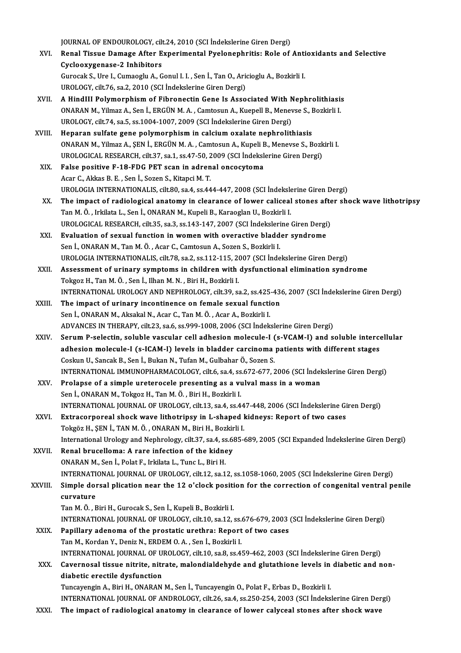JOURNAL OF ENDOUROLOGY, cilt.24, 2010 (SCI İndekslerine Giren Dergi)

- JOURNAL OF ENDOUROLOGY, cilt.24, 2010 (SCI İndekslerine Giren Dergi)<br>XVI. Renal Tissue Damage After Experimental Pyelonephritis: Role of Antioxidants and Selective JOURNAL OF ENDOUROLOGY, cilt<br>Renal Tissue Damage After E<br>Cyclooxygenase-2 Inhibitors<br>Cunesel: S. Ure L. Cumesslu A. C Renal Tissue Damage After Experimental Pyelonephritis: Role of Anti<br>Cyclooxygenase-2 Inhibitors<br>Gurocak S., Ure I., Cumaoglu A., Gonul I. I. , Sen İ., Tan O., Aricioglu A., Bozkirli I.<br>UPOLOCY silt 76.93.2010 (SCL Indeksle Cyclooxygenase-2 Inhibitors<br>Gurocak S., Ure I., Cumaoglu A., Gonul I. I. , Sen İ., Tan O., Aricioglu A., Bozkirli I.<br>UROLOGY, cilt.76, sa.2, 2010 (SCI İndekslerine Giren Dergi)
- XVII. A HindIII Polymorphism of Fibronectin Gene Is Associated With Nephrolithiasis UROLOGY, cilt.76, sa.2, 2010 (SCI İndekslerine Giren Dergi)<br>A HindIII Polymorphism of Fibronectin Gene Is Associated With Nephrolithiasi:<br>ONARAN M., Yilmaz A., Sen İ., ERGÜN M. A. , Camtosun A., Kuepell B., Menevse S., Boz A HindIII Polymorphism of Fibronectin Gene Is Associated With N<br>ONARAN M., Yilmaz A., Sen İ., ERGÜN M. A. , Camtosun A., Kuepell B., Menev<br>UROLOGY, cilt.74, sa.5, ss.1004-1007, 2009 (SCI İndekslerine Giren Dergi)<br>Hanaran s ONARAN M., Yilmaz A., Sen İ., ERGÜN M. A., Camtosun A., Kuepell B., Menevse S., I<br>UROLOGY, cilt.74, sa.5, ss.1004-1007, 2009 (SCI İndekslerine Giren Dergi)<br>XVIII. Heparan sulfate gene polymorphism in calcium oxalate nephro
- UROLOGY, cilt.74, sa.5, ss.1004-1007, 2009 (SCI İndekslerine Giren Dergi)<br>Heparan sulfate gene polymorphism in calcium oxalate nephrolithiasis<br>ONARAN M., Yilmaz A., ŞEN İ., ERGÜN M. A. , Camtosun A., Kupeli B., Menevse S., Heparan sulfate gene polymorphism in calcium oxalate nephrolithiasis<br>ONARAN M., Yilmaz A., ŞEN İ., ERGÜN M. A. , Camtosun A., Kupeli B., Menevse S., Bozk<br>UROLOGICAL RESEARCH, cilt.37, sa.1, ss.47-50, 2009 (SCI İndekslerine UROLOGICAL RESEARCH, cilt.37, sa.1, ss.47-50, 2009 (SCI İndekslerine Giren Dergi)
- XIX. False positive F-18-FDG PET scan in adrenal oncocytoma False positive F-18-FDG PET scan in adrenal oncocytoma<br>Acar C., Akkas B. E. , Sen İ., Sozen S., Kitapci M. T.<br>UROLOGIA INTERNATIONALIS, cilt.80, sa.4, ss.444-447, 2008 (SCI İndekslerine Giren Dergi)<br>The impact of radiologi Acar C., Akkas B. E. , Sen İ., Sozen S., Kitapci M. T.<br>UROLOGIA INTERNATIONALIS, cilt.80, sa.4, ss.444-447, 2008 (SCI İndekslerine Giren Dergi)<br>XX. The impact of radiological anatomy in clearance of lower caliceal stones a
- UROLOGIA INTERNATIONALIS, cilt.80, sa.4, ss.444-447, 2008 (SCI İndeksle<br>The impact of radiological anatomy in clearance of lower caliceal<br>Tan M. Ö. , Irkilata L., Sen İ., ONARAN M., Kupeli B., Karaoglan U., Bozkirli I.<br>UPO The impact of radiological anatomy in clearance of lower caliceal stones afte<br>Tan M. Ö. , Irkilata L., Sen İ., ONARAN M., Kupeli B., Karaoglan U., Bozkirli I.<br>UROLOGICAL RESEARCH, cilt.35, sa.3, ss.143-147, 2007 (SCI İndek Tan M. Ö., Irkilata L., Sen İ., ONARAN M., Kupeli B., Karaoglan U., Bozkirli I.<br>UROLOGICAL RESEARCH, cilt.35, sa.3, ss.143-147, 2007 (SCI İndekslerine Giren Dergi<br>XXI. Byaluation of sexual function in women with overactive
- UROLOGICAL RESEARCH, cilt.35, sa.3, ss.143-147, 2007 (SCI İndeksleri<br>Evaluation of sexual function in women with overactive bladd<br>Sen İ., ONARAN M., Tan M. Ö., Acar C., Camtosun A., Sozen S., Bozkirli I.<br>UPOLOGIA INTERNATI Evaluation of sexual function in women with overactive bladder syndrome<br>Sen İ., ONARAN M., Tan M. Ö., Acar C., Camtosun A., Sozen S., Bozkirli I.<br>UROLOGIA INTERNATIONALIS, cilt.78, sa.2, ss.112-115, 2007 (SCI İndekslerine
- Sen İ., ONARAN M., Tan M. Ö. , Acar C., Camtosun A., Sozen S., Bozkirli I.<br>UROLOGIA INTERNATIONALIS, cilt.78, sa.2, ss.112-115, 2007 (SCI İndekslerine Giren Dergi)<br>XXII. Assessment of urinary symptoms in children with dysf UROLOGIA INTERNATIONALIS, cilt.78, sa.2, ss.112-115, 20<br>Assessment of urinary symptoms in children with<br>Tokgoz H., Tan M.Ö., Sen İ., Ilhan M. N., Biri H., Bozkirli I.<br>INTERNATIONAL UROLOCY AND NEPHROLOCY silt 30, ss Assessment of urinary symptoms in children with dysfunctional elimination syndrome<br>Tokgoz H., Tan M. Ö. , Sen İ., Ilhan M. N. , Biri H., Bozkirli I.<br>INTERNATIONAL UROLOGY AND NEPHROLOGY, cilt.39, sa.2, ss.425-436, 2007 (SC
- XXIII. The impact of urinary incontinence on female sexual function<br>Sen İ., ONARAN M., Aksakal N., Acar C., Tan M. Ö., Acar A., Bozkirli I. INTERNATIONAL UROLOGY AND NEPHROLOGY, cilt.39, sa.2, ss.425<br>The impact of urinary incontinence on female sexual functi<br>Sen İ., ONARAN M., Aksakal N., Acar C., Tan M. Ö., Acar A., Bozkirli I.<br>ADVANCES IN TUERARY, silt 22, s ADVANCES IN THERAPY, cilt.23, sa.6, ss.999-1008, 2006 (SCI İndekslerine Giren Dergi) Sen İ., ONARAN M., Aksakal N., Acar C., Tan M. Ö., Acar A., Bozkirli I.<br>ADVANCES IN THERAPY, cilt.23, sa.6, ss.999-1008, 2006 (SCI İndekslerine Giren Dergi)<br>XXIV. Serum P-selectin, soluble vascular cell adhesion molecule-I
- ADVANCES IN THERAPY, cilt.23, sa.6, ss.999-1008, 2006 (SCI İndekslerine Giren Dergi)<br>Serum P-selectin, soluble vascular cell adhesion molecule-I (s-VCAM-I) and soluble interce<br>adhesion molecule-I (s-ICAM-I) levels in bladd adhesion molecule-I (s-ICAM-I) levels in bladder carcinoma patients with different stages<br>Coskun U., Sancak B., Sen İ., Bukan N., Tufan M., Gulbahar Ö., Sozen S. adhesion molecule-I (s-ICAM-I) levels in bladder carcinoma patients with different stages<br>Coskun U., Sancak B., Sen İ., Bukan N., Tufan M., Gulbahar Ö., Sozen S.<br>INTERNATIONAL IMMUNOPHARMACOLOGY, cilt.6, sa.4, ss.672-677, Coskun U., Sancak B., Sen İ., Bukan N., Tufan M., Gulbahar Ö., Sozen S.<br>INTERNATIONAL IMMUNOPHARMACOLOGY, cilt.6, sa.4, ss.672-677, 2006 (SCI İndel<br>XXV. Prolapse of a simple ureterocele presenting as a vulval mass in a wom
- Prolapse of a simple ureterocele presenting as a vulval mass in a woman Sen İ., ONARAN M., Tokgoz H., Tan M. Ö., Biri H., Bozkirli I. Prolapse of a simple ureterocele presenting as a vulval mass in a woman<br>Sen İ., ONARAN M., Tokgoz H., Tan M. Ö. , Biri H., Bozkirli I.<br>INTERNATIONAL JOURNAL OF UROLOGY, cilt.13, sa.4, ss.447-448, 2006 (SCI İndekslerine Gir Sen İ., ONARAN M., Tokgoz H., Tan M. Ö. , Biri H., Bozkirli I.<br>INTERNATIONAL JOURNAL OF UROLOGY, cilt.13, sa.4, ss.447-448, 2006 (SCI İndekslerine Gi<br>XXVI. Extracorporeal shock wave lithotripsy in L-shaped kidneys: Report
- INTERNATIONAL JOURNAL OF UROLOGY, cilt.13, sa.4, ss.44<br>Extracorporeal shock wave lithotripsy in L-shaped l<br>Tokgöz H., ŞEN İ., TAN M. Ö. , ONARAN M., Biri H., Bozkirli I.<br>International Uralagy and Naphralagy, silt.27, sa.4, Extracorporeal shock wave lithotripsy in L-shaped kidneys: Report of two cases<br>Tokgöz H., ŞEN İ., TAN M. Ö., ONARAN M., Biri H., Bozkirli I.<br>International Urology and Nephrology, cilt.37, sa.4, ss.685-689, 2005 (SCI Expand Tokgöz H., ŞEN İ., TAN M. Ö. , ONARAN M., Biri H., Bozkir<br>International Urology and Nephrology, cilt.37, sa.4, ss.64<br>XXVII. Renal brucelloma: A rare infection of the kidney<br>ONARAN M. Son İ. Bolat E. Irkilata J. Tune J. Bir
- ONARAN M., Sen İ., Polat F., Irkilata L., Tunc L., Biri H. INTERNATIONAL JOURNALOFUROLOGY, cilt.12, sa.12, ss.1058-1060,2005 (SCI İndekslerineGirenDergi) ONARAN M., Sen İ., Polat F., Irkilata L., Tunc L., Biri H.<br>INTERNATIONAL JOURNAL OF UROLOGY, cilt.12, sa.12, ss.1058-1060, 2005 (SCI İndekslerine Giren Dergi)<br>XXVIII. Simple dorsal plication near the 12 o'clock position fo

## INTERNATI<br>Simple doi<br>curvature<br>Tan M Ö - E Simple dorsal plication near the 12 o'clock positi<br>curvature<br>Tan M. Ö. , Biri H., Gurocak S., Sen İ., Kupeli B., Bozkirli I.<br>INTERNATIONAL JOURNAL OE UROLOCY silt 10 se 12 4 curvature<br>Tan M. Ö. , Biri H., Gurocak S., Sen İ., Kupeli B., Bozkirli I.<br>INTERNATIONAL JOURNAL OF UROLOGY, cilt.10, sa.12, ss.676-679, 2003 (SCI İndekslerine Giren Dergi)<br>Panillary adeneme of the prestatis ursthre: Benert

- Tan M. Ö. , Biri H., Gurocak S., Sen İ., Kupeli B., Bozkirli I.<br>INTERNATIONAL JOURNAL OF UROLOGY, cilt.10, sa.12, ss.676-679, 2003<br>XXIX. Papillary adenoma of the prostatic urethra: Report of two cases<br>Tan M., Kordan Y., De INTERNATIONAL JOURNAL OF UROLOGY, cilt.10, sa.12, ss.<br>Papillary adenoma of the prostatic urethra: Report<br>Tan M., Kordan Y., Deniz N., ERDEM O.A. , Sen İ., Bozkirli I.<br>INTERNATIONAL JOURNAL OF UROLOCY, silt 10, sa.8, ss.4. Papillary adenoma of the prostatic urethra: Report of two cases<br>Tan M., Kordan Y., Deniz N., ERDEM O. A. , Sen İ., Bozkirli I.<br>INTERNATIONAL JOURNAL OF UROLOGY, cilt.10, sa.8, ss.459-462, 2003 (SCI İndekslerine Giren Dergi Tan M., Kordan Y., Deniz N., ERDEM O. A. , Sen İ., Bozkirli I.<br>INTERNATIONAL JOURNAL OF UROLOGY, cilt.10, sa.8, ss.459-462, 2003 (SCI İndekslerine Giren Dergi)<br>XXX. Cavernosal tissue nitrite, nitrate, malondialdehyde and g
	- INTERNATIONAL JOURNAL OF U<br>Cavernosal tissue nitrite, nitr<br>diabetic erectile dysfunction<br>Tunggyangin A. Bini H. ONARAN Cavernosal tissue nitrite, nitrate, malondialdehyde and glutathione levels in<br>diabetic erectile dysfunction<br>Tuncayengin A., Biri H., ONARAN M., Sen İ., Tuncayengin O., Polat F., Erbas D., Bozkirli I.<br>INTERNATIONAL JOURNAL diabetic erectile dysfunction<br>Tuncayengin A., Biri H., ONARAN M., Sen İ., Tuncayengin O., Polat F., Erbas D., Bozkirli I.<br>INTERNATIONAL JOURNAL OF ANDROLOGY, cilt.26, sa.4, ss.250-254, 2003 (SCI İndekslerine Giren Dergi)
		-
- XXXI. The impact of radiological anatomy in clearance of lower calyceal stones after shock wave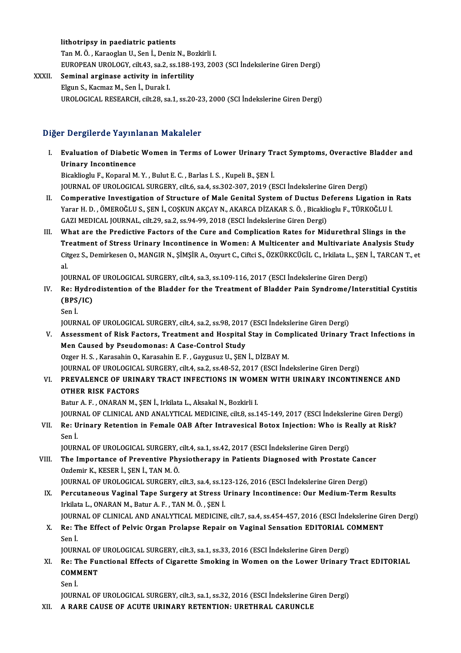### lithotripsy in paediatric patients

TanM.Ö. ,KaraoglanU.,Senİ.,DenizN.,Bozkirli I. lithotripsy in paediatric patients<br>Tan M. Ö. , Karaoglan U., Sen İ., Deniz N., Bozkirli I.<br>EUROPEAN UROLOGY, cilt.43, sa.2, ss.188-193, 2003 (SCI İndekslerine Giren Dergi)<br>Seminal arginase estivity in infortility.

## XXXII. Seminal arginase activity in infertility<br>Elgun S., Kacmaz M., Sen İ., Durak I. EUROPEAN UROLOGY, cilt.43, sa.2, s<br>Seminal arginase activity in inf<br>Elgun S., Kacmaz M., Sen İ., Durak I.<br>UPOLOCICAL PESEARCH cilt.29, sa

UROLOGICAL RESEARCH, cilt.28, sa.1, ss.20-23, 2000 (SCI İndekslerine Giren Dergi)

## Diğer Dergilerde Yayınlanan Makaleler

Iger Dergilerde Yayınlanan Makaleler<br>I. Evaluation of Diabetic Women in Terms of Lower Urinary Tract Symptoms, Overactive Bladder and<br>Ilrinary Incontinance **Example 1 dynamics 1 dynamics**<br>Evaluation of Diabetic<br>Bisoklicaly E. Konoral M Evaluation of Diabetic Women in Terms of Lower Urinary Tr<br>Urinary Incontinence<br>Bicaklioglu F., Koparal M.Y. , Bulut E. C. , Barlas I. S. , Kupeli B., ŞEN İ.<br>JOUPNAL OF UPOLOCICAL SUPCERY silté sa 4, 83 202, 202, 2010 (E

Urinary Incontinence<br>Bicaklioglu F., Koparal M. Y. , Bulut E. C. , Barlas I. S. , Kupeli B., ŞEN İ.<br>JOURNAL OF UROLOGICAL SURGERY, cilt.6, sa.4, ss.302-307, 2019 (ESCI İndekslerine Giren Dergi)

- Bicaklioglu F., Koparal M. Y. , Bulut E. C. , Barlas I. S. , Kupeli B., ŞEN İ.<br>JOURNAL OF UROLOGICAL SURGERY, cilt.6, sa.4, ss.302-307, 2019 (ESCI İndekslerine Giren Dergi)<br>II. Comperative Investigation of Structure of Mal JOURNAL OF UROLOGICAL SURGERY, cilt.6, sa.4, ss.302-307, 2019 (ESCI İndekslerine Giren Dergi)<br>Comperative Investigation of Structure of Male Genital System of Ductus Deferens Ligation in<br>Yarar H. D. , ÖMEROĞLU S., ŞEN İ., Yarar H. D. , ÖMEROĞLU S., ŞEN İ., COŞKUN AKÇAY N., AKARCA DİZAKAR S. Ö. , Bicaklioglu F., TÜRKOĞLU İ.<br>GAZI MEDICAL JOURNAL, cilt.29, sa.2, ss.94-99, 2018 (ESCI İndekslerine Giren Dergi) Yarar H. D. , ÖMEROĞLU S., ŞEN İ., COŞKUN AKÇAY N., AKARCA DİZAKAR S. Ö. , Bicaklioglu F., TÜRKOĞLU İ.<br>GAZI MEDICAL JOURNAL, cilt.29, sa.2, ss.94-99, 2018 (ESCI İndekslerine Giren Dergi)<br>III. What are the Predictive Factor
- GAZI MEDICAL JOURNAL, cilt.29, sa.2, ss.94-99, 2018 (ESCI İndekslerine Giren Dergi)<br>What are the Predictive Factors of the Cure and Complication Rates for Midurethral Slings in the<br>Treatment of Stress Urinary Incontinence What are the Predictive Factors of the Cure and Complication Rates for Midurethral Slings in the<br>Treatment of Stress Urinary Incontinence in Women: A Multicenter and Multivariate Analysis Study<br>Citgez S., Demirkesen O., MA Tr<br>Cit<br>101 Citgez S., Demirkesen O., MANGIR N., ŞİMŞİR A., Ozyurt C., Ciftci S., ÖZKÜRKCÜGİL C., Irkilata L., ŞEN İ., TARCAN T., et<br>al.<br>JOURNAL OF UROLOGICAL SURGERY, cilt.4, sa.3, ss.109-116, 2017 (ESCI İndekslerine Giren Dergi)

- al.<br>IOURNAL OF UROLOGICAL SURGERY, cilt4, sa.3, ss.109-116, 2017 (ESCI İndekslerine Giren Dergi)<br>IV. Re: Hydrodistention of the Bladder for the Treatment of Bladder Pain Syndrome/Interstitial Cystitis<br>CRRS/IC) JOURNAL<br>Re: Hydro<br>(BPS/IC)<br>Sen <sup>i</sup> Re: H<br>(BPS<sub>,</sub><br>Sen İ.<br>IOUP! (BPS/IC)<br>Sen İ.<br>JOURNAL OF UROLOGICAL SURGERY, cilt.4, sa.2, ss.98, 2017 (ESCI İndekslerine Giren Dergi)
	-

- Sen İ.<br>JOURNAL OF UROLOGICAL SURGERY, cilt.4, sa.2, ss.98, 2017 (ESCI İndekslerine Giren Dergi)<br>V. Assessment of Risk Factors, Treatment and Hospital Stay in Complicated Urinary Tract Infections in<br>Man Caused by Beaude JOURNAL OF UROLOGICAL SURGERY, cilt.4, sa.2, ss.98, 2017<br>Assessment of Risk Factors, Treatment and Hospital<br>Men Caused by Pseudomonas: A Case-Control Study<br>Ozzer H. S., Karasabin O., Karasabin E. E., Gauzuauz U. SEN Assessment of Risk Factors, Treatment and Hospital Stay in Com<br>Men Caused by Pseudomonas: A Case-Control Study<br>Ozger H. S. , Karasahin O., Karasahin E. F. , Gaygusuz U., ŞEN İ., DİZBAY M.<br>JOUPMAL OE UPOLOCICAL SURCERY sit Men Caused by Pseudomonas: A Case-Control Study<br>Ozger H. S. , Karasahin O., Karasahin E. F. , Gaygusuz U., ŞEN İ., DİZBAY M.<br>JOURNAL OF UROLOGICAL SURGERY, cilt.4, sa.2, ss.48-52, 2017 (ESCI İndekslerine Giren Dergi)<br>PREVA
- Ozger H. S. , Karasahin O., Karasahin E. F. , Gaygusuz U., ŞEN İ., DİZBAY M.<br>JOURNAL OF UROLOGICAL SURGERY, cilt.4, sa.2, ss.48-52, 2017 (ESCI İndekslerine Giren Dergi)<br>VI. PREVALENCE OF URINARY TRACT INFECTIONS IN WOM **JOURNAL OF UROLOGICA<br>PREVALENCE OF URIN<br>OTHER RISK FACTORS** PREVALENCE OF URINARY TRACT INFECTIONS IN WOM.<br>OTHER RISK FACTORS<br>Batur A. F. , ONARAN M., ŞEN İ., Irkilata L., Aksakal N., Bozkirli I.<br>JOUPNAL OF CLINICAL AND ANALYTICAL MEDICINE silt 9, sc 1 OTHER RISK FACTORS<br>Batur A. F. , ONARAN M., ŞEN İ., Irkilata L., Aksakal N., Bozkirli I.<br>JOURNAL OF CLINICAL AND ANALYTICAL MEDICINE, cilt.8, ss.145-149, 2017 (ESCI İndekslerine Giren Dergi)

Batur A. F. , ONARAN M., ŞEN İ., Irkilata L., Aksakal N., Bozkirli I.<br>JOURNAL OF CLINICAL AND ANALYTICAL MEDICINE, cilt.8, ss.145-149, 2017 (ESCI İndekslerine Giren Derg<br>VII. Re: Urinary Retention in Female OAB After JOURI<br><mark>Re: U</mark><br>Sen İ. Re: Urinary Retention in Female OAB After Intravesical Botox Injection: Who is Re<br>Sen İ.<br>JOURNAL OF UROLOGICAL SURGERY, cilt.4, sa.1, ss.42, 2017 (ESCI İndekslerine Giren Dergi)<br>The Impertance of Preventive Physiothereny i

JOURNAL OF UROLOGICAL SURGERY, cilt.4, sa.1, ss.42, 2017 (ESCI Indekslerine Giren Dergi)

Sen İ.<br>JOURNAL OF UROLOGICAL SURGERY, cilt.4, sa.1, ss.42, 2017 (ESCI İndekslerine Giren Dergi)<br>VIII. The Importance of Preventive Physiotherapy in Patients Diagnosed with Prostate Cancer<br>Ozdemir K., KESER İ., SEN İ., The Importance of Preventive Physiotherapy in Patients Diagnosed with Prostate Cancel<br>Ozdemir K., KESER İ., ŞEN İ., TAN M. Ö.<br>JOURNAL OF UROLOGICAL SURGERY, cilt.3, sa.4, ss.123-126, 2016 (ESCI İndekslerine Giren Dergi)<br>Pe

- Ozdemir K., KESER İ., ŞEN İ., TAN M. Ö.<br>JOURNAL OF UROLOGICAL SURGERY, cilt.3, sa.4, ss.123-126, 2016 (ESCI İndekslerine Giren Dergi)<br>IX. Percutaneous Vaginal Tape Surgery at Stress Urinary Incontinence: Our Medium-Term Re JOURNAL OF UROLOGICAL SURGERY, cilt.3, sa.4, ss.12<br>Percutaneous Vaginal Tape Surgery at Stress L<br>Irkilata L., ONARAN M., Batur A. F. , TAN M. Ö. , ŞEN İ.<br>JOUPNAL OE CLINICAL AND ANALYTICAL MEDICINE IX. Percutaneous Vaginal Tape Surgery at Stress Urinary Incontinence: Our Medium-Term Results<br>Irkilata L., ONARAN M., Batur A. F., TAN M. Ö., ŞEN İ.<br>JOURNAL OF CLINICAL AND ANALYTICAL MEDICINE, cilt.7, sa.4, ss.454-457, 20
- Irkilata L., ONARAN M., Batur A. F. , TAN M. Ö. , ŞEN İ.<br>JOURNAL OF CLINICAL AND ANALYTICAL MEDICINE, cilt.7, sa.4, ss.454-457, 2016 (ESCI İndekslerine Gi<br>X. Re: The Effect of Pelvic Organ Prolapse Repair on Vaginal Se
- JOURI<br><mark>Re: T</mark><br>Sen İ.<br>IOURI Re: The Effect of Pelvic Organ Prolapse Repair on Vaginal Sensation EDITORIAL C<br>Sen İ.<br>JOURNAL OF UROLOGICAL SURGERY, cilt.3, sa.1, ss.33, 2016 (ESCI İndekslerine Giren Dergi)<br>Pe: The Eungtional Effects of Cigarette Smokin

Sen İ.<br>JOURNAL OF UROLOGICAL SURGERY, cilt.3, sa.1, ss.33, 2016 (ESCI İndekslerine Giren Dergi)<br>XI. Re: The Functional Effects of Cigarette Smoking in Women on the Lower Urinary Tract EDITORIAL<br>COMMENT JOURNAL OF<br>Re: The Ful<br>COMMENT<br>Sen <sup>i</sup> Re: T<br>COMI<br>Sen İ.<br>IOUP! COMMENT<br>Sen İ.<br>JOURNAL OF UROLOGICAL SURGERY, cilt.3, sa.1, ss.32, 2016 (ESCI İndekslerine Giren Dergi)

XII. A RARE CAUSE OF ACUTE URINARY RETENTION: URETHRAL CARUNCLE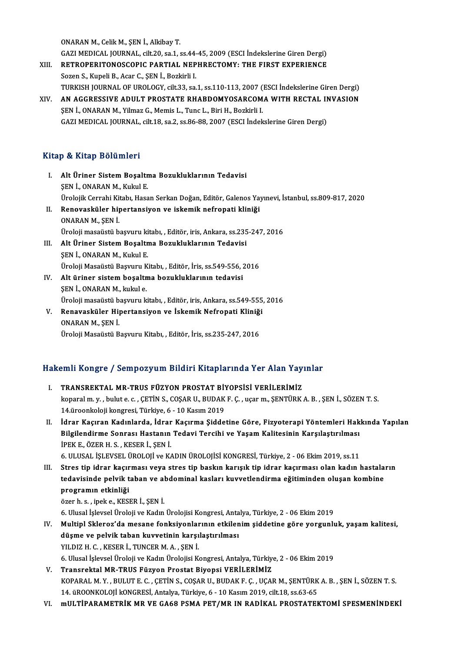ONARANM.,CelikM.,ŞENİ.,AlkibayT.

GAZIMEDICAL JOURNAL, cilt.20, sa.1, ss.44-45,2009 (ESCI İndekslerineGirenDergi) ONARAN M., Celik M., ŞEN İ., Alkibay T.<br>GAZI MEDICAL JOURNAL, cilt.20, sa.1, ss.44-45, 2009 (ESCI İndekslerine Giren Dergi)<br>XIII. RETROPERITONOSCOPIC PARTIAL NEPHRECTOMY: THE FIRST EXPERIENCE GAZI MEDICAL JOURNAL, cilt.20, sa.1, ss.44<br>RETROPERITONOSCOPIC PARTIAL NEP<br>Sozen S., Kupeli B., Acar C., ŞEN İ., Bozkirli I.<br>TURKISH JOURNAL OF UROLOGY, silt.22, SS.

- RETROPERITONOSCOPIC PARTIAL NEPHRECTOMY: THE FIRST EXPERIENCE<br>Sozen S., Kupeli B., Acar C., ŞEN İ., Bozkirli I.<br>TURKISH JOURNAL OF UROLOGY, cilt.33, sa.1, ss.110-113, 2007 (ESCI İndekslerine Giren Dergi)<br>AN ACCRESSIVE ADIJ Sozen S., Kupeli B., Acar C., ŞEN İ., Bozkirli I.<br>TURKISH JOURNAL OF UROLOGY, cilt.33, sa.1, ss.110-113, 2007 (ESCI İndekslerine Giren Dergi)<br>XIV. — AN AGGRESSIVE ADULT PROSTATE RHABDOMYOSARCOMA WITH RECTAL INVASION
- TURKISH JOURNAL OF UROLOGY, cilt.33, sa.1, ss.110-113, 2007 (<br>AN AGGRESSIVE ADULT PROSTATE RHABDOMYOSARCOM.<br>ŞEN İ., ONARAN M., Yilmaz G., Memis L., Tunc L., Biri H., Bozkirli I.<br>CAZI MEDICAL JOURNAL, silt 19, ss.2, ss.86, AN AGGRESSIVE ADULT PROSTATE RHABDOMYOSARCOMA WITH RECTAL II<br>ŞEN İ., ONARAN M., Yilmaz G., Memis L., Tunc L., Biri H., Bozkirli I.<br>GAZI MEDICAL JOURNAL, cilt.18, sa.2, ss.86-88, 2007 (ESCI İndekslerine Giren Dergi) GAZI MEDICAL JOURNAL, cilt.18, sa.2, ss.86-88, 2007 (ESCI İndekslerine Giren Dergi)<br>Kitap & Kitap Bölümleri

- Itap & Kitap Bölümleri<br>I. Alt Üriner Sistem Boşaltma Bozukluklarının Tedavisi<br>SENL ONARAN M. Kulul E p & Krasp Bordmer I<br>Alt Üriner Sistem Boşaltı<br>ŞEN İ., ONARAN M., Kukul E.<br>Ürolojik Corrabi Kitabı Hass Alt Üriner Sistem Boşaltma Bozukluklarının Tedavisi<br>ŞEN İ., ONARAN M., Kukul E.<br>Ürolojik Cerrahi Kitabı, Hasan Serkan Doğan, Editör, Galenos Yayınevi, İstanbul, ss.809-817, 2020<br>Peneveskülen binertansiyen ve iskemik nefnen ŞEN İ., ONARAN M., Kukul E.<br>Ürolojik Cerrahi Kitabı, Hasan Serkan Doğan, Editör, Galenos Yay<br>II. Renovasküler hipertansiyon ve iskemik nefropati kliniği<br>ONARAN M., SEN İ. Ürolojik Cerrahi Kit<br><mark>Renovasküler hij</mark><br>ONARAN M., ŞEN İ.<br>Üroloji mesajistü b Renovasküler hipertansiyon ve iskemik nefropati kliniği<br>ONARAN M., ŞEN İ.<br>Üroloji masaüstü başvuru kitabı, , Editör, iris, Ankara, ss.235-247, 2016<br>Alt Üriner Sistem Beseltme Besultluklarının Tedevisi.
	-
- III. Alt Üriner Sistem Boşaltma Bozukluklarının Tedavisi<br>ŞEN İ., ONARAN M., Kukul E. Üroloji masaüstü başvuru ki<br>Alt Üriner Sistem Boşaltı<br>ŞEN İ., ONARAN M., Kukul E.<br>Üroloji Masaüstü Basınını K Üroloji Masaüstü Başvuru Kitabı, , Editör, İris, ss.549-556, 2016
- IV. Alt üriner sistemboşaltma bozukluklarının tedavisi ŞENİ.,ONARANM.,kukule. Alt üriner sistem boşaltma bozukluklarının tedavisi<br>ŞEN İ., ONARAN M., kukul e.<br>Üroloji masaüstü başvuru kitabı, , Editör, iris, Ankara, ss.549-555, 2016<br>Banavasküler Hinertansiyen ve İskemik Nefrenati Kliniği ŞEN İ., ONARAN M., kukul e.<br>Üroloji masaüstü başvuru kitabı, , Editör, iris, Ankara, ss.549-555<br>V. Renavasküler Hipertansiyon ve İskemik Nefropati Kliniği<br>ONARAN M. SEN İ
- Üroloji masaüstü b<br><mark>Renavasküler Hij</mark><br>ONARAN M., ŞEN İ.<br>Üroloji Mesaüstü B Renavasküler Hipertansiyon ve İskemik Nefropati Kliniği<br>ONARAN M., ŞEN İ.<br>Üroloji Masaüstü Başvuru Kitabı, , Editör, İris, ss.235-247, 2016

# uroloji masaustu Başvuru Kitabi, , Editor, Iris, ss.235-247, 2016<br>Hakemli Kongre / Sempozyum Bildiri Kitaplarında Yer Alan Yayınlar

- akemli Kongre / Sempozyum Bildiri Kitaplarında Yer Alan Yay<br>I. TRANSREKTAL MR-TRUS FÜZYON PROSTAT BİYOPSİSİ VERİLERİMİZ<br>Isaacılım uzubulta a CETİN S. COSAR IL BUDAKE G. HARIT SENTÜRK koparalm.y. , yolup birini ili sayan masalarında bir sayanca birini birini sayanca<br>TRANSREKTAL MR-TRUS FÜZYON PROSTAT BİYOPSİSİ VERİLERİMİZ<br>koparalm.y., bulute.c., ÇETİN S., COŞAR U., BUDAK F. Ç., uçar m., ŞENTÜRK A. B., Ş TRANSREKTAL MR-TRUS FÜZYON PROSTAT Bİ!<br>koparal m. y. , bulut e. c. , ÇETİN S., COŞAR U., BUDAK<br>14.üroonkoloji kongresi, Türkiye, 6 - 10 Kasım 2019<br>İdnar Kasıman Kadınlanda, İdnar Kasımpa Sidde koparal m. y. , bulut e. c. , ÇETİN S., COŞAR U., BUDAK F. Ç. , uçar m., ŞENTÜRK A. B. , ŞEN İ., SÖZEN T. S.<br>14.üroonkoloji kongresi, Türkiye, 6 - 10 Kasım 2019<br>II. İdrar Kaçıran Kadınlarda, İdrar Kaçırma Şiddetine Gör
- 14.üroonkoloji kongresi, Türkiye, 6 10 Kasım 2019<br>İdrar Kaçıran Kadınlarda, İdrar Kaçırma Şiddetine Göre, Fizyoterapi Yöntemleri Hak<br>Bilgilendirme Sonrası Hastanın Tedavi Tercihi ve Yaşam Kalitesinin Karşılaştırılması<br>İP İdrar Kaçıran Kadınlarda, İdrar<br>Bilgilendirme Sonrası Hastanın<br>İPEK E., ÖZER H. S. , KESER İ., ŞEN İ.<br>6 HLUSAL İSLEVÇEL ÜROLOR ve K Bilgilendirme Sonrası Hastanın Tedavi Tercihi ve Yaşam Kalitesinin Karşılaştırılması<br>İPEK E., ÖZER H. S. , KESER İ., ŞEN İ.<br>6. ULUSAL İŞLEVSEL ÜROLOJİ ve KADIN ÜROLOJİSİ KONGRESİ, Türkiye, 2 - 06 Ekim 2019, ss.11<br>Stres tin IPEK E., ÖZER H. S. , KESER İ., ŞEN İ.<br>6. ULUSAL İŞLEVSEL ÜROLOJİ ve KADIN ÜROLOJİSİ KONGRESİ, Türkiye, 2 - 06 Ekim 2019, ss.11<br>III. Stres tip idrar kaçırması veya stres tip baskın karışık tip idrar kaçırması olan kadı

6. ULUSAL İŞLEVSEL ÜROLOJİ ve KADIN ÜROLOJİSİ KONGRESİ, Türkiye, 2 - 06 Ekim 2019, ss.11<br>Stres tip idrar kaçırması veya stres tip baskın karışık tip idrar kaçırması olan kadın hastala<br>tedavisinde pelvik taban ve abdominal Stres tip idrar kaçır<br>tedavisinde pelvik t<br>programın etkinliği tedavisinde pelvik taban ve al<br>programın etkinliği<br>özer h. s. , ipek e., KESER İ., ŞEN İ.<br>6 Husel İslavçel Üreleji ve Kodu programın etkinliği<br>özer h. s. , ipek e., KESER İ., ŞEN İ.<br>6. Ulusal İşlevsel Üroloji ve Kadın Ürolojisi Kongresi, Antalya, Türkiye, 2 - 06 Ekim 2019<br>Multinl Sklenog'de mesane fanksiyenlerunun etkilenim siddetine göre yeng

özer h. s. , ipek e., KESER İ., ŞEN İ.<br>6. Ulusal İşlevsel Üroloji ve Kadın Ürolojisi Kongresi, Antalya, Türkiye, 2 - 06 Ekim 2019<br>IV. Multipl Skleroz'da mesane fonksiyonlarının etkilenim şiddetine göre yorgunluk, yaşam 6. Ulusal İşlevsel Üroloji ve Kadın Ürolojisi Kongresi, Anta<br>Multipl Skleroz'da mesane fonksiyonlarının etkilen<br>düşme ve pelvik taban kuvvetinin karşılaştırılması<br>VU DIZ H.C., KESER İ. TUNCER M.A., SEN İ. IV. Multipl Skleroz'da mesane fonksiyonlarının etkilenim şiddetine göre yorgunluk, yaşam kalitesi,<br>düşme ve pelvik taban kuvvetinin karşılaştırılması<br>YILDIZ H. C. , KESER İ., TUNCER M. A. , ŞEN İ. 6.Ulusal İşlevselÜrolojiveKadınÜrolojisiKongresi,Antalya,Türkiye,2 -06Ekim2019

V. TransrektalMR-TRUS Füzyon Prostat Biyopsi VERİLERİMİZ 6. Ulusal İşlevsel Üroloji ve Kadın Ürolojisi Kongresi, Antalya, Türkiye, 2 - 06 Ekim 2019<br>Transrektal MR-TRUS Füzyon Prostat Biyopsi VERİLERİMİZ<br>KOPARAL M. Y. , BULUT E. C. , ÇETİN S., COŞAR U., BUDAK F. Ç. , UÇAR M., ŞEN Transrektal MR-TRUS Füzyon Prostat Biyopsi VERİLERİMİZ<br>KOPARAL M. Y. , BULUT E. C. , ÇETİN S., COŞAR U., BUDAK F. Ç. , UÇAR M., ŞENTÜRK<br>14. üROONKOLOJİ kONGRESİ, Antalya, Türkiye, 6 - 10 Kasım 2019, cilt.18, ss.63-65<br>mili

14. üROONKOLOJİ kONGRESİ, Antalya, Türkiye, 6 - 10 Kasım 2019, cilt.18, ss.63-65<br>VI. mULTİPARAMETRİK MR VE GA68 PSMA PET/MR IN RADİKAL PROSTATEKTOMİ SPESMENİNDEKİ